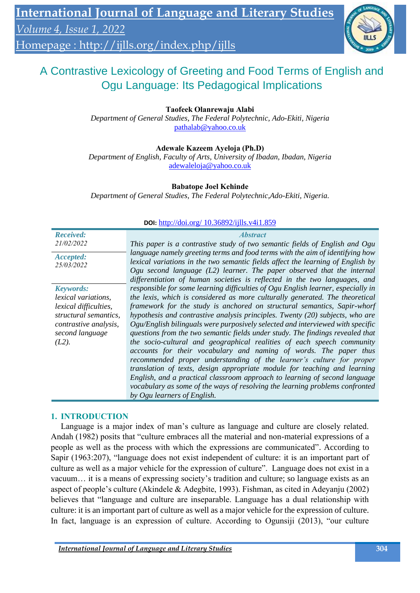Homepage :<http://ijlls.org/index.php/ijlls>



# A Contrastive Lexicology of Greeting and Food Terms of English and Ogu Language: Its Pedagogical Implications

**Taofeek Olanrewaju Alabi**

*Department of General Studies, The Federal Polytechnic, Ado-Ekiti, Nigeria* [pathalab@yahoo.co.uk](mailto:pathalab@yahoo.co.uk)

### **Adewale Kazeem Ayeloja (Ph.D)**

*Department of English, Faculty of Arts, University of Ibadan, Ibadan, Nigeria* [adewaleloja@yahoo.co.uk](mailto:adewaleloja@yahoo.co.uk)

### **Babatope Joel Kehinde**

*Department of General Studies, The Federal Polytechnic,Ado-Ekiti, Nigeria.*

| <b>DOI:</b> http://doi.org/ $10.36892/11$ lls.v411.859 |                                                                                                                                                                                                                                                                                                                           |  |  |
|--------------------------------------------------------|---------------------------------------------------------------------------------------------------------------------------------------------------------------------------------------------------------------------------------------------------------------------------------------------------------------------------|--|--|
| <b>Received:</b><br>21/02/2022                         | <i><b>Abstract</b></i><br>This paper is a contrastive study of two semantic fields of English and Ogu                                                                                                                                                                                                                     |  |  |
| Accepted:<br>25/03/2022                                | language namely greeting terms and food terms with the aim of identifying how<br>lexical variations in the two semantic fields affect the learning of English by<br>Ogu second language $(L2)$ learner. The paper observed that the internal<br>differentiation of human societies is reflected in the two languages, and |  |  |
| <b>Keywords:</b>                                       | responsible for some learning difficulties of Ogu English learner, especially in                                                                                                                                                                                                                                          |  |  |
| <i>lexical</i> variations,                             | the lexis, which is considered as more culturally generated. The theoretical                                                                                                                                                                                                                                              |  |  |
| lexical difficulties,                                  | framework for the study is anchored on structural semantics, Sapir-whorf                                                                                                                                                                                                                                                  |  |  |
| structural semantics,                                  | hypothesis and contrastive analysis principles. Twenty (20) subjects, who are                                                                                                                                                                                                                                             |  |  |
| contrastive analysis,<br>second language               | Ogu/English bilinguals were purposively selected and interviewed with specific<br>questions from the two semantic fields under study. The findings revealed that                                                                                                                                                          |  |  |
| $(L2)$ .                                               | the socio-cultural and geographical realities of each speech community                                                                                                                                                                                                                                                    |  |  |
|                                                        | accounts for their vocabulary and naming of words. The paper thus                                                                                                                                                                                                                                                         |  |  |
|                                                        | recommended proper understanding of the learner's culture for proper                                                                                                                                                                                                                                                      |  |  |
|                                                        | translation of texts, design appropriate module for teaching and learning                                                                                                                                                                                                                                                 |  |  |
|                                                        | English, and a practical classroom approach to learning of second language                                                                                                                                                                                                                                                |  |  |
|                                                        | vocabulary as some of the ways of resolving the learning problems confronted                                                                                                                                                                                                                                              |  |  |
|                                                        | by Ogu learners of English.                                                                                                                                                                                                                                                                                               |  |  |

### **DOI:** http://doi.org/ 10.36892/ijlls.v4i1.859

### **1. INTRODUCTION**

Language is a major index of man's culture as language and culture are closely related. Andah (1982) posits that "culture embraces all the material and non-material expressions of a people as well as the process with which the expressions are communicated". According to Sapir (1963:207), "language does not exist independent of culture: it is an important part of culture as well as a major vehicle for the expression of culture". Language does not exist in a vacuum… it is a means of expressing society's tradition and culture; so language exists as an aspect of people's culture (Akindele & Adegbite, 1993). Fishman, as cited in Adeyanju (2002) believes that "language and culture are inseparable. Language has a dual relationship with culture: it is an important part of culture as well as a major vehicle for the expression of culture. In fact, language is an expression of culture. According to Ogunsiji (2013), "our culture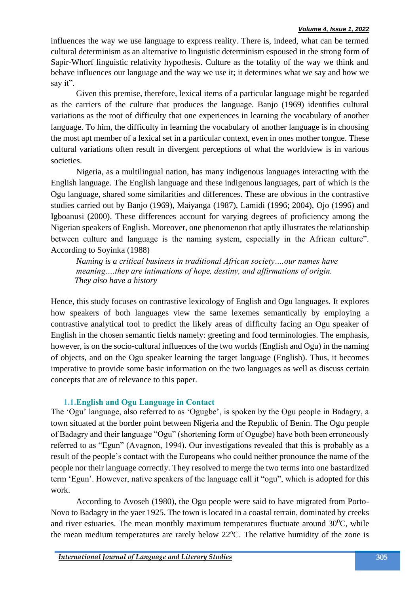influences the way we use language to express reality. There is, indeed, what can be termed cultural determinism as an alternative to linguistic determinism espoused in the strong form of Sapir-Whorf linguistic relativity hypothesis. Culture as the totality of the way we think and behave influences our language and the way we use it; it determines what we say and how we say it".

Given this premise, therefore, lexical items of a particular language might be regarded as the carriers of the culture that produces the language. Banjo (1969) identifies cultural variations as the root of difficulty that one experiences in learning the vocabulary of another language. To him, the difficulty in learning the vocabulary of another language is in choosing the most apt member of a lexical set in a particular context, even in ones mother tongue. These cultural variations often result in divergent perceptions of what the worldview is in various societies.

Nigeria, as a multilingual nation, has many indigenous languages interacting with the English language. The English language and these indigenous languages, part of which is the Ogu language, shared some similarities and differences. These are obvious in the contrastive studies carried out by Banjo (1969), Maiyanga (1987), Lamidi (1996; 2004), Ojo (1996) and Igboanusi (2000). These differences account for varying degrees of proficiency among the Nigerian speakers of English. Moreover, one phenomenon that aptly illustrates the relationship between culture and language is the naming system, especially in the African culture". According to Soyinka (1988)

*Naming is a critical business in traditional African society….our names have meaning….they are intimations of hope, destiny, and affirmations of origin. They also have a history*

Hence, this study focuses on contrastive lexicology of English and Ogu languages. It explores how speakers of both languages view the same lexemes semantically by employing a contrastive analytical tool to predict the likely areas of difficulty facing an Ogu speaker of English in the chosen semantic fields namely: greeting and food terminologies. The emphasis, however, is on the socio-cultural influences of the two worlds (English and Ogu) in the naming of objects, and on the Ogu speaker learning the target language (English). Thus, it becomes imperative to provide some basic information on the two languages as well as discuss certain concepts that are of relevance to this paper.

### **1.1.English and Ogu Language in Contact**

The 'Ogu' language, also referred to as 'Ogugbe', is spoken by the Ogu people in Badagry, a town situated at the border point between Nigeria and the Republic of Benin. The Ogu people of Badagry and their language "Ogu" (shortening form of Ogugbe) have both been erroneously referred to as "Egun" (Avagnon, 1994). Our investigations revealed that this is probably as a result of the people's contact with the Europeans who could neither pronounce the name of the people nor their language correctly. They resolved to merge the two terms into one bastardized term 'Egun'. However, native speakers of the language call it "ogu", which is adopted for this work.

According to Avoseh (1980), the Ogu people were said to have migrated from Porto-Novo to Badagry in the yaer 1925. The town is located in a coastal terrain, dominated by creeks and river estuaries. The mean monthly maximum temperatures fluctuate around  $30^{\circ}$ C, while the mean medium temperatures are rarely below  $22^{\circ}$ C. The relative humidity of the zone is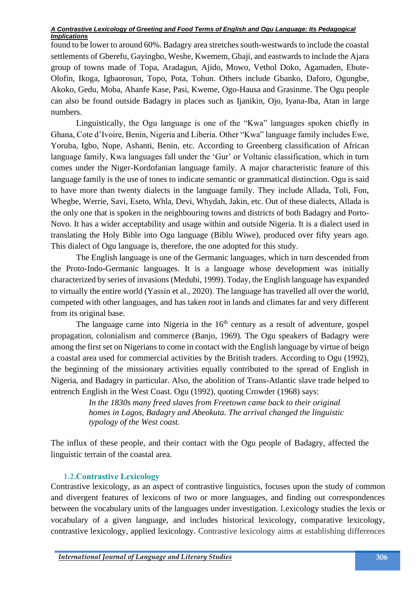found to be lower to around 60%. Badagry area stretches south-westwards to include the coastal settlements of Gberefu, Gayingbo, Weshe, Kwemem, Gbaji, and eastwards to include the Ajara group of towns made of Topa, Aradagun, Ajido, Mowo, Vethol Doko, Agamaden, Ebute-Olofin, Ikoga, Igbaorosun, Topo, Pota, Tohun. Others include Gbanko, Daforo, Ogungbe, Akoko, Gedu, Moba, Ahanfe Kase, Pasi, Kweme, Ogo-Hausa and Grasinme. The Ogu people can also be found outside Badagry in places such as Ijanikin, Ojo, Iyana-Iba, Atan in large numbers.

Linguistically, the Ogu language is one of the "Kwa" languages spoken chiefly in Ghana, Cote d'Ivoire, Benin, Nigeria and Liberia. Other "Kwa" language family includes Ewe, Yoruba, Igbo, Nupe, Ashanti, Benin, etc. According to Greenberg classification of African language family, Kwa languages fall under the 'Gur' or Voltanic classification, which in turn comes under the Niger-Kordofanian language family. A major characteristic feature of this language family is the use of tones to indicate semantic or grammatical distinction. Ogu is said to have more than twenty dialects in the language family. They include Allada, Toli, Fon, Whegbe, Werrie, Savi, Eseto, Whla, Devi, Whydah, Jakin, etc. Out of these dialects, Allada is the only one that is spoken in the neighbouring towns and districts of both Badagry and Porto-Novo. It has a wider acceptability and usage within and outside Nigeria. It is a dialect used in translating the Holy Bible into Ogu language (Biblu Wiwe), produced over fifty years ago. This dialect of Ogu language is, therefore, the one adopted for this study.

The English language is one of the Germanic languages, which in turn descended from the Proto-Indo-Germanic languages. It is a language whose development was initially characterized by series of invasions (Medubi, 1999). Today, the English language has expanded to virtually the entire world (Yassin et al., 2020). The language has travelled all over the world, competed with other languages, and has taken root in lands and climates far and very different from its original base.

The language came into Nigeria in the  $16<sup>th</sup>$  century as a result of adventure, gospel propagation, colonialism and commerce (Banjo, 1969). The Ogu speakers of Badagry were among the first set on Nigerians to come in contact with the English language by virtue of beign a coastal area used for commercial activities by the British traders. According to Ogu (1992), the beginning of the missionary activities equally contributed to the spread of English in Nigeria, and Badagry in particular. Also, the abolition of Trans-Atlantic slave trade helped to entrench English in the West Coast. Ogu (1992), quoting Crowder (1968) says:

> *In the 1830s many freed slaves from Freetown came back to their original homes in Lagos, Badagry and Abeokuta. The arrival changed the linguistic typology of the West coast.*

The influx of these people, and their contact with the Ogu people of Badagry, affected the linguistic terrain of the coastal area.

# **1.2.Contrastive Lexicology**

Contrastive lexicology, as an aspect of contrastive linguistics, focuses upon the study of common and divergent features of lexicons of two or more languages, and finding out correspondences between the vocabulary units of the languages under investigation. Lexicology studies the lexis or vocabulary of a given language, and includes historical lexicology, comparative lexicology, contrastive lexicology, applied lexicology. Contrastive lexicology aims at establishing differences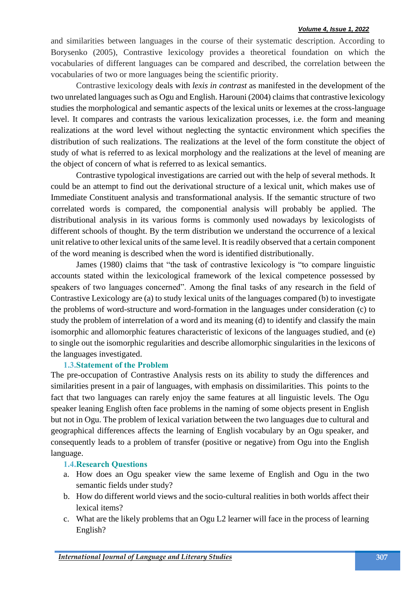#### *Volume 4, Issue 1, 2022*

and similarities between languages in the course of their systematic description. According to Borysenko (2005), Contrastive lexicology provides a theoretical foundation on which the vocabularies of different languages can be compared and described, the correlation between the vocabularies of two or more languages being the scientific priority.

Contrastive lexicology deals with *lexis in contrast* as manifested in the development of the two unrelated languages such as Ogu and English. Harouni (2004) claims that contrastive lexicology studies the morphological and semantic aspects of the lexical units or lexemes at the cross-language level. It compares and contrasts the various lexicalization processes, i.e. the form and meaning realizations at the word level without neglecting the syntactic environment which specifies the distribution of such realizations. The realizations at the level of the form constitute the object of study of what is referred to as lexical morphology and the realizations at the level of meaning are the object of concern of what is referred to as lexical semantics.

Contrastive typological investigations are carried out with the help of several methods. It could be an attempt to find out the derivational structure of a lexical unit, which makes use of Immediate Constituent analysis and transformational analysis. If the semantic structure of two correlated words is compared, the componential analysis will probably be applied. The distributional analysis in its various forms is commonly used nowadays by lexicologists of different schools of thought. By the term distribution we understand the occurrence of a lexical unit relative to other lexical units of the same level. It is readily observed that a certain component of the word meaning is described when the word is identified distributionally.

James (1980) claims that "the task of contrastive lexicology is "to compare linguistic accounts stated within the lexicological framework of the lexical competence possessed by speakers of two languages concerned". Among the final tasks of any research in the field of Contrastive Lexicology are (a) to study lexical units of the languages compared (b) to investigate the problems of word-structure and word-formation in the languages under consideration (c) to study the problem of interrelation of a word and its meaning (d) to identify and classify the main isomorphic and allomorphic features characteristic of lexicons of the languages studied, and (e) to single out the isomorphic regularities and describe allomorphic singularities in the lexicons of the languages investigated.

### **1.3.Statement of the Problem**

The pre-occupation of Contrastive Analysis rests on its ability to study the differences and similarities present in a pair of languages, with emphasis on dissimilarities. This points to the fact that two languages can rarely enjoy the same features at all linguistic levels. The Ogu speaker leaning English often face problems in the naming of some objects present in English but not in Ogu. The problem of lexical variation between the two languages due to cultural and geographical differences affects the learning of English vocabulary by an Ogu speaker, and consequently leads to a problem of transfer (positive or negative) from Ogu into the English language.

### **1.4.Research Questions**

- a. How does an Ogu speaker view the same lexeme of English and Ogu in the two semantic fields under study?
- b. How do different world views and the socio-cultural realities in both worlds affect their lexical items?
- c. What are the likely problems that an Ogu L2 learner will face in the process of learning English?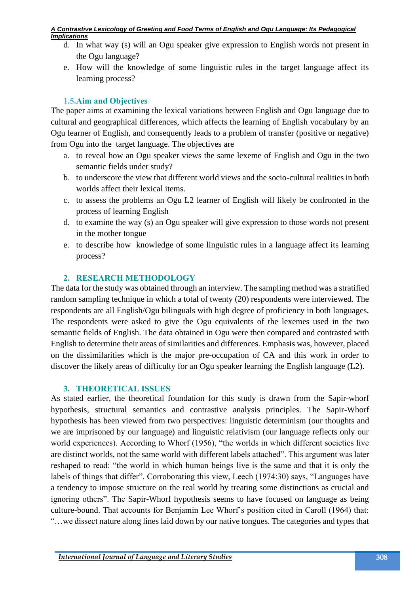- d. In what way (s) will an Ogu speaker give expression to English words not present in the Ogu language?
- e. How will the knowledge of some linguistic rules in the target language affect its learning process?

# **1.5.Aim and Objectives**

The paper aims at examining the lexical variations between English and Ogu language due to cultural and geographical differences, which affects the learning of English vocabulary by an Ogu learner of English, and consequently leads to a problem of transfer (positive or negative) from Ogu into the target language. The objectives are

- a. to reveal how an Ogu speaker views the same lexeme of English and Ogu in the two semantic fields under study?
- b. to underscore the view that different world views and the socio-cultural realities in both worlds affect their lexical items.
- c. to assess the problems an Ogu L2 learner of English will likely be confronted in the process of learning English
- d. to examine the way (s) an Ogu speaker will give expression to those words not present in the mother tongue
- e. to describe how knowledge of some linguistic rules in a language affect its learning process?

# **2. RESEARCH METHODOLOGY**

The data for the study was obtained through an interview. The sampling method was a stratified random sampling technique in which a total of twenty (20) respondents were interviewed. The respondents are all English/Ogu bilinguals with high degree of proficiency in both languages. The respondents were asked to give the Ogu equivalents of the lexemes used in the two semantic fields of English. The data obtained in Ogu were then compared and contrasted with English to determine their areas of similarities and differences. Emphasis was, however, placed on the dissimilarities which is the major pre-occupation of CA and this work in order to discover the likely areas of difficulty for an Ogu speaker learning the English language (L2).

# **3. THEORETICAL ISSUES**

As stated earlier, the theoretical foundation for this study is drawn from the Sapir-whorf hypothesis, structural semantics and contrastive analysis principles. The Sapir-Whorf hypothesis has been viewed from two perspectives: linguistic determinism (our thoughts and we are imprisoned by our language) and linguistic relativism (our language reflects only our world experiences). According to Whorf (1956), "the worlds in which different societies live are distinct worlds, not the same world with different labels attached". This argument was later reshaped to read: "the world in which human beings live is the same and that it is only the labels of things that differ". Corroborating this view, Leech (1974:30) says, "Languages have a tendency to impose structure on the real world by treating some distinctions as crucial and ignoring others". The Sapir-Whorf hypothesis seems to have focused on language as being culture-bound. That accounts for Benjamin Lee Whorf's position cited in Caroll (1964) that: "…we dissect nature along lines laid down by our native tongues. The categories and types that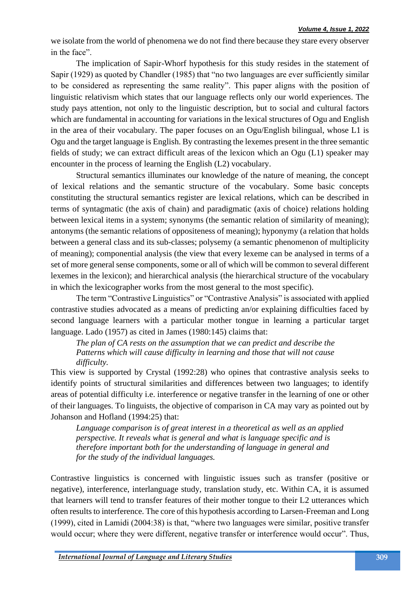we isolate from the world of phenomena we do not find there because they stare every observer in the face".

The implication of Sapir-Whorf hypothesis for this study resides in the statement of Sapir (1929) as quoted by Chandler (1985) that "no two languages are ever sufficiently similar to be considered as representing the same reality". This paper aligns with the position of linguistic relativism which states that our language reflects only our world experiences. The study pays attention, not only to the linguistic description, but to social and cultural factors which are fundamental in accounting for variations in the lexical structures of Ogu and English in the area of their vocabulary. The paper focuses on an Ogu/English bilingual, whose L1 is Ogu and the target language is English. By contrasting the lexemes present in the three semantic fields of study; we can extract difficult areas of the lexicon which an Ogu (L1) speaker may encounter in the process of learning the English (L2) vocabulary.

Structural semantics illuminates our knowledge of the nature of meaning, the concept of lexical relations and the semantic structure of the vocabulary. Some basic concepts constituting the structural semantics register are lexical relations, which can be described in terms of syntagmatic (the axis of chain) and paradigmatic (axis of choice) relations holding between lexical items in a system; synonyms (the semantic relation of similarity of meaning); antonyms (the semantic relations of oppositeness of meaning); hyponymy (a relation that holds between a general class and its sub-classes; polysemy (a semantic phenomenon of multiplicity of meaning); componential analysis (the view that every lexeme can be analysed in terms of a set of more general sense components, some or all of which will be common to several different lexemes in the lexicon); and hierarchical analysis (the hierarchical structure of the vocabulary in which the lexicographer works from the most general to the most specific).

The term "Contrastive Linguistics" or "Contrastive Analysis" is associated with applied contrastive studies advocated as a means of predicting an/or explaining difficulties faced by second language learners with a particular mother tongue in learning a particular target language. Lado (1957) as cited in James (1980:145) claims that:

*The plan of CA rests on the assumption that we can predict and describe the Patterns which will cause difficulty in learning and those that will not cause difficulty.*

This view is supported by Crystal (1992:28) who opines that contrastive analysis seeks to identify points of structural similarities and differences between two languages; to identify areas of potential difficulty i.e. interference or negative transfer in the learning of one or other of their languages. To linguists, the objective of comparison in CA may vary as pointed out by Johanson and Hofland (1994:25) that:

*Language comparison is of great interest in a theoretical as well as an applied perspective. It reveals what is general and what is language specific and is therefore important both for the understanding of language in general and for the study of the individual languages.*

Contrastive linguistics is concerned with linguistic issues such as transfer (positive or negative), interference, interlanguage study, translation study, etc. Within CA, it is assumed that learners will tend to transfer features of their mother tongue to their L2 utterances which often results to interference. The core of this hypothesis according to Larsen-Freeman and Long (1999), cited in Lamidi (2004:38) is that, "where two languages were similar, positive transfer would occur; where they were different, negative transfer or interference would occur". Thus,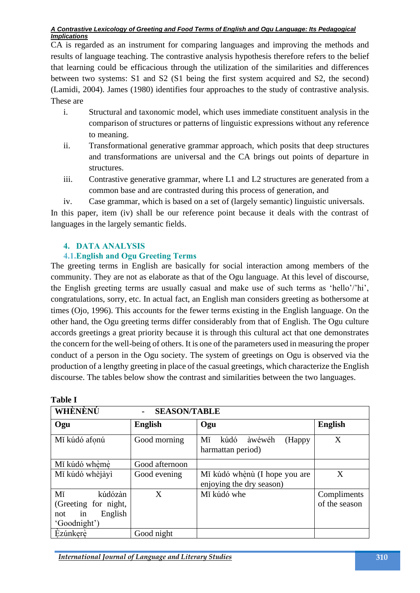CA is regarded as an instrument for comparing languages and improving the methods and results of language teaching. The contrastive analysis hypothesis therefore refers to the belief that learning could be efficacious through the utilization of the similarities and differences between two systems: S1 and S2 (S1 being the first system acquired and S2, the second) (Lamidi, 2004). James (1980) identifies four approaches to the study of contrastive analysis. These are

- i. Structural and taxonomic model, which uses immediate constituent analysis in the comparison of structures or patterns of linguistic expressions without any reference to meaning.
- ii. Transformational generative grammar approach, which posits that deep structures and transformations are universal and the CA brings out points of departure in structures.
- iii. Contrastive generative grammar, where L1 and L2 structures are generated from a common base and are contrasted during this process of generation, and
- iv. Case grammar, which is based on a set of (largely semantic) linguistic universals.

In this paper, item (iv) shall be our reference point because it deals with the contrast of languages in the largely semantic fields.

# **4. DATA ANALYSIS**

# **4.1.English and Ogu Greeting Terms**

The greeting terms in English are basically for social interaction among members of the community. They are not as elaborate as that of the Ogu language. At this level of discourse, the English greeting terms are usually casual and make use of such terms as 'hello'/'hi', congratulations, sorry, etc. In actual fact, an English man considers greeting as bothersome at times (Ojo, 1996). This accounts for the fewer terms existing in the English language. On the other hand, the Ogu greeting terms differ considerably from that of English. The Ogu culture accords greetings a great priority because it is through this cultural act that one demonstrates the concern for the well-being of others. It is one of the parameters used in measuring the proper conduct of a person in the Ogu society. The system of greetings on Ogu is observed via the production of a lengthy greeting in place of the casual greetings, which characterize the English discourse. The tables below show the contrast and similarities between the two languages.

| 1uviv 1                                                                       |                |                                                           |                              |
|-------------------------------------------------------------------------------|----------------|-----------------------------------------------------------|------------------------------|
| WHÈNÈNÚ                                                                       |                |                                                           |                              |
| Ogu                                                                           | <b>English</b> | Ogu                                                       | <b>English</b>               |
| Mǐ kúdó afonú                                                                 | Good morning   | Mĭ<br>kúdó<br>àwéwéh<br>(Happy)<br>harmattan period)      | X                            |
| Mĩ kúdó whèmè                                                                 | Good afternoon |                                                           |                              |
| Mĩ kúdó whèjàyì                                                               | Good evening   | Mí kúdó whènù (I hope you are<br>enjoying the dry season) | X                            |
| kúdózàn<br>Mĭ<br>(Greeting for night,<br>English<br>in<br>not<br>'Goodnight') | X              | Mĩ kúdó whe                                               | Compliments<br>of the season |
| Ezúnkerè                                                                      | Good night     |                                                           |                              |

**Table I**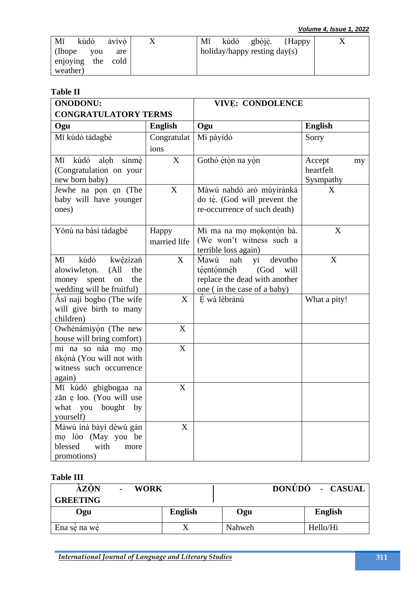| àvìvò<br>kúdó<br>Mĭ |     | kúdó gbòjè. {Happy<br>Mĭ       |  |
|---------------------|-----|--------------------------------|--|
| (Ihope)<br>you      | are | holiday/happy resting $day(s)$ |  |
| enjoying the cold   |     |                                |  |
| weather)            |     |                                |  |

### **Table II**

| <b>ONODONU:</b>                                                                                                              |                       | <b>VIVE: CONDOLENCE</b>                                                                                                           |                                        |  |
|------------------------------------------------------------------------------------------------------------------------------|-----------------------|-----------------------------------------------------------------------------------------------------------------------------------|----------------------------------------|--|
| <b>CONGRATULATORY TERMS</b>                                                                                                  |                       |                                                                                                                                   |                                        |  |
| Ogu                                                                                                                          | <b>English</b>        | Ogu                                                                                                                               | <b>English</b>                         |  |
| Mǐ kúdó tádagbè                                                                                                              | Congratulat           | Mí pàyídó                                                                                                                         | Sorry                                  |  |
|                                                                                                                              | ions                  |                                                                                                                                   |                                        |  |
| Mí kúdó<br>aloh<br>sínmè<br>(Congratulation on your<br>new born baby)                                                        | X                     | Gothó étòn na yón                                                                                                                 | Accept<br>my<br>heartfelt<br>Sysmpathy |  |
| Jewhe na pon en (The<br>baby will have younger<br>ones)                                                                      | $\mathbf X$           | Màwú nahdó arò múyírànká<br>do tè. (God will prevent the<br>re-occurrence of such death)                                          | X                                      |  |
| Yǒnú na bàsì tádagbè                                                                                                         | Happy<br>married life | Mi ma na mọ mọkọntón bà.<br>(We won't witness such a<br>terrible loss again)                                                      | X                                      |  |
| Mĭ<br>kúdó<br>kwězízań<br>alowiwleton.<br>(A <sup>11</sup> )<br>the<br>money spent<br>the<br>on<br>wedding will be fruitful) | X                     | <b>Mawu</b><br>yi<br>devotho<br>nah<br>téentónmèh<br>(God<br>will<br>replace the dead with another<br>one (in the case of a baby) | X                                      |  |
| Ásĭ naji bogbo (The wife<br>will give birth to many<br>children)                                                             | X                     | È wà lèbránú                                                                                                                      | What a pity!                           |  |
| Owhénámiyón (The new<br>house will bring comfort)                                                                            | X                     |                                                                                                                                   |                                        |  |
| mi na so náa mọ mọ<br>ńkónà (You will not with<br>witness such occurrence<br>again)                                          | X                     |                                                                                                                                   |                                        |  |
| Mĭ kúdó gbigbogaa na<br>zăn e loo. (You will use<br>what you bought by<br>yourself)                                          | X                     |                                                                                                                                   |                                        |  |
| Màwú íná bàyí dèwú gán<br>mọ lóo (May you be<br>blessed<br>with<br>more<br>promotions)                                       | X                     |                                                                                                                                   |                                        |  |

### **Table III**

| <b>AZON</b><br><b>WORK</b><br>$\blacksquare$<br><b>GREETING</b> |                |        | DONÚDO - CASUAL |
|-----------------------------------------------------------------|----------------|--------|-----------------|
| Ogu                                                             | <b>English</b> | Ogu    | <b>English</b>  |
| Ena sè na we                                                    |                | Nahweh | Hello/Hi        |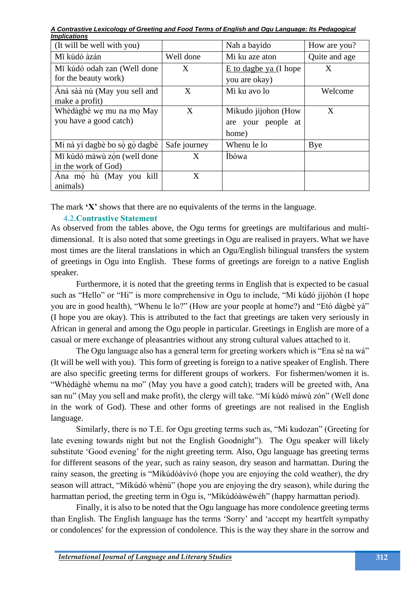*A Contrastive Lexicology of Greeting and Food Terms of English and Ogu Language: Its Pedagogical Implications*

| (It will be well with you)    |              | Nah a bayido            | How are you?  |
|-------------------------------|--------------|-------------------------|---------------|
| Mĩ kúdó àzán                  | Well done    | Mi ku aze aton          | Quite and age |
| Mí kúdó odah zan (Well done   | X            | $E$ to dagbe ya (I hope | X             |
| for the beauty work)          |              | you are okay)           |               |
| Aná sàà nú (May you sell and  | X            | Mi ku avo lo            | Welcome       |
| make a profit)                |              |                         |               |
| Whèdàgbè we mu na mọ May      | X            | Mikudo jijohon (How     | X             |
| you have a good catch)        |              | are your people at      |               |
|                               |              | home)                   |               |
| Mí nà yí dagbè bo sò gò dagbè | Safe journey | Whenu le lo             | Bye           |
| Mí kúdó máwù zón (well done   | X            | İbòwa                   |               |
| in the work of God)           |              |                         |               |
| Ana mọ hù (May you kill       | X            |                         |               |
| animals)                      |              |                         |               |

The mark **'X'** shows that there are no equivalents of the terms in the language.

# **4.2.Contrastive Statement**

As observed from the tables above, the Ogu terms for greetings are multifarious and multidimensional. It is also noted that some greetings in Ogu are realised in prayers. What we have most times are the literal translations in which an Ogu/English bilingual transfers the system of greetings in Ogu into English. These forms of greetings are foreign to a native English speaker.

Furthermore, it is noted that the greeting terms in English that is expected to be casual such as "Hello" or "Hi" is more comprehensive in Ogu to include, "Mí kúdó jìjòhòn (I hope you are in good health), "Whenu le lo?" (How are your people at home?) and "Etó dàgbè yà" (I hope you are okay). This is attributed to the fact that greetings are taken very seriously in African in general and among the Ogu people in particular. Greetings in English are more of a casual or mere exchange of pleasantries without any strong cultural values attached to it.

The Ogu language also has a general term for greeting workers which is "Ena sè na wá" (It will be well with you). This form of greeting is foreign to a native speaker of English. There are also specific greeting terms for different groups of workers. For fishermen/women it is. "Whèdàghè whemu na mo" (May you have a good catch); traders will be greeted with, Ana san nu" (May you sell and make profit), the clergy will take. "Mí kúdó máwù zón" (Well done in the work of God). These and other forms of greetings are not realised in the English language.

Similarly, there is no T.E. for Ogu greeting terms such as, "Mi kudozan" (Greeting for late evening towards night but not the English Goodnight"). The Ogu speaker will likely substitute 'Good evening' for the night greeting term. Also, Ogu language has greeting terms for different seasons of the year, such as rainy season, dry season and harmattan. During the rainy season, the greeting is "Míkúdóàvívó (hope you are enjoying the cold weather), the dry season will attract, "Míkúdó whènù" (hope you are enjoying the dry season), while during the harmattan period, the greeting term in Ogu is, "Míkúdóàwéwéh" (happy harmattan period).

Finally, it is also to be noted that the Ogu language has more condolence greeting terms than English. The English language has the terms 'Sorry' and 'accept my heartfelt sympathy or condolences' for the expression of condolence. This is the way they share in the sorrow and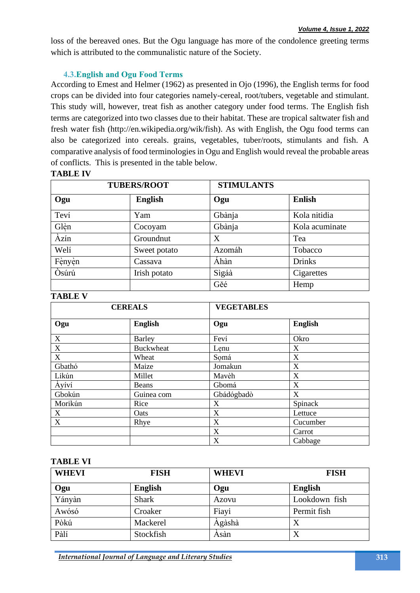loss of the bereaved ones. But the Ogu language has more of the condolence greeting terms which is attributed to the communalistic nature of the Society.

### **4.3. English and Ogu Food Terms**

According to Emest and Helmer (1962) as presented in Ojo (1996), the English terms for food crops can be divided into four categories namely-cereal, root/tubers, vegetable and stimulant. This study will, however, treat fish as another category under food terms. The English fish terms are categorized into two classes due to their habitat. These are tropical saltwater fish and fresh water fish (http://en.wikipedia.org/wik/fish). As with English, the Ogu food terms can also be categorized into cereals. grains, vegetables, tuber/roots, stimulants and fish. A comparative analysis of food terminologies in Ogu and English would reveal the probable areas of conflicts. This is presented in the table below.

### **TABLE IV**

| <b>TUBERS/ROOT</b> |                |        | <b>STIMULANTS</b> |  |
|--------------------|----------------|--------|-------------------|--|
| Ogu                | <b>English</b> | Ogu    | <b>Enlish</b>     |  |
| Teví               | Yam            | Gbànja | Kola nitidia      |  |
| Glèn               | Cocoyam        | Gbànja | Kola acuminate    |  |
| Àzín               | Groundnut      | X      | Tea               |  |
| Welí               | Sweet potato   | Azomáh | Tobacco           |  |
| Fènyèn             | Cassava        | Áhàn   | <b>Drinks</b>     |  |
| Òsúrú              | Irish potato   | Sìgáà  | Cigarettes        |  |
|                    |                | Gěé    | Hemp              |  |

#### **TABLE V**

| <b>CEREALS</b> |                  | <b>VEGETABLES</b> |                |  |
|----------------|------------------|-------------------|----------------|--|
| Ogu            | <b>English</b>   | Ogu               | <b>English</b> |  |
| $\mathbf X$    | <b>Barley</b>    | Feví              | Okro           |  |
| $\mathbf X$    | <b>Buckwheat</b> | Lenu              | X              |  |
| $\mathbf X$    | Wheat            | Somá              | X              |  |
| Gbathó         | Maize            | Jomakun           | X              |  |
| Likún          | Millet           | Mavèh             | X              |  |
| Àyíví          | Beans            | Gbomá             | X              |  |
| Gbokún         | Guinea com       | Gbádógbadò        | X              |  |
| Morikún        | Rice             | X                 | Spinack        |  |
| X              | Oats             | X                 | Lettuce        |  |
| $\mathbf X$    | Rhye             | X                 | Cucumber       |  |
|                |                  | X                 | Carrot         |  |
|                |                  | X                 | Cabbage        |  |

### **TABLE VI**

| <b>WHEVI</b> | <b>FISH</b>    | <b>WHEVI</b> | <b>FISH</b>    |
|--------------|----------------|--------------|----------------|
| Ogu          | <b>English</b> | Ogu          | <b>English</b> |
| Yányàn       | <b>Shark</b>   | Azovu        | Lookdown fish  |
| Awósó        | Croaker        | Fiayi        | Permit fish    |
| Pòkú         | Mackerel       | Ágàshà       | X              |
| Pàlí         | Stockfish      | Ásàn         | X              |

**International Journal of Language and Literary Studies**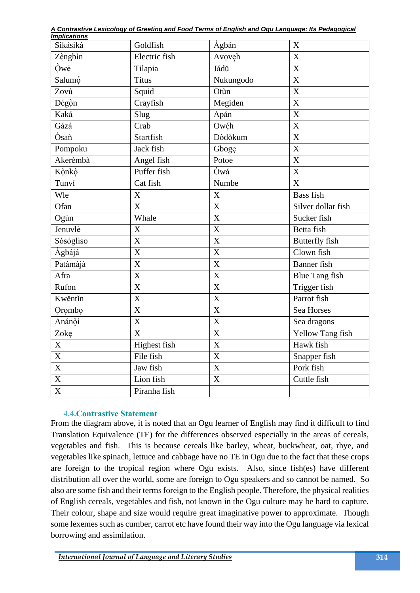| A Contrastive Lexicology of Greeting and Food Terms of English and Ogu Language: Its Pedagogical |  |  |
|--------------------------------------------------------------------------------------------------|--|--|
| $lmmli$ ationa                                                                                   |  |  |

| <u>Implications</u> |                           |                           |                           |
|---------------------|---------------------------|---------------------------|---------------------------|
| Sikásikà            | Goldfish                  | Àgbán                     | $\boldsymbol{\mathrm{X}}$ |
| Zèngbìn             | Electric fish             | Avoveh                    | $\mathbf X$               |
| Qwé                 | Tilapia                   | Jádŭ                      | $\overline{X}$            |
| Salumó              | <b>Titus</b>              | Nukungodo                 | $\overline{\text{X}}$     |
| Zovú                | Squid                     | Otùn                      | $\mathbf X$               |
| Dègòn               | Crayfish                  | Megiden                   | X                         |
| Kaká                | Slug                      | Apán                      | X                         |
| Gázá                | Crab                      | Owéh                      | X                         |
| Òsan                | Startfish                 | Dòdòkum                   | X                         |
| Pompoku             | Jack fish                 | Gboge                     | X                         |
| Akerémbà            | Angel fish                | Potoe                     | $\overline{X}$            |
| Kònkò               | Puffer fish               | Òwá                       | $\overline{X}$            |
| Tunví               | Cat fish                  | Numbe                     | X                         |
| Wle                 | X                         | X                         | <b>Bass</b> fish          |
| Ofan                | X                         | X                         | Silver dollar fish        |
| Ogùn                | Whale                     | $\mathbf X$               | Sucker fish               |
| Jenuvlé             | $\mathbf X$               | $\overline{X}$            | Betta fish                |
| Sósógliso           | X                         | $\mathbf X$               | <b>Butterfly</b> fish     |
| Àgbájá              | X                         | X                         | Clown fish                |
| Patámàjà            | $\mathbf X$               | X                         | <b>Banner</b> fish        |
| Afra                | $\mathbf X$               | $\overline{X}$            | <b>Blue Tang fish</b>     |
| Rufon               | $\overline{X}$            | $\overline{\mathrm{X}}$   | Trigger fish              |
| Kwěntǐn             | X                         | X                         | Parrot fish               |
| Orombo              | $\overline{X}$            | $\overline{X}$            | Sea Horses                |
| Anánòí              | $\boldsymbol{\mathrm{X}}$ | $\boldsymbol{\mathrm{X}}$ | Sea dragons               |
| Zoke                | X                         | X                         | Yellow Tang fish          |
| $\mathbf X$         | <b>Highest</b> fish       | $\overline{X}$            | Hawk fish                 |
| $\overline{X}$      | File fish                 | X                         | Snapper fish              |
| $\overline{X}$      | Jaw fish                  | $\overline{\mathbf{X}}$   | Pork fish                 |
| $\overline{X}$      | Lion fish                 | $\overline{X}$            | Cuttle fish               |
| $\overline{X}$      | Piranha fish              |                           |                           |

# **4.4. Contrastive Statement**

From the diagram above, it is noted that an Ogu learner of English may find it difficult to find Translation Equivalence (TE) for the differences observed especially in the areas of cereals, vegetables and fish. This is because cereals like barley, wheat, buckwheat, oat, rhye, and vegetables like spinach, lettuce and cabbage have no TE in Ogu due to the fact that these crops are foreign to the tropical region where Ogu exists. Also, since fish(es) have different distribution all over the world, some are foreign to Ogu speakers and so cannot be named. So also are some fish and their terms foreign to the English people. Therefore, the physical realities of English cereals, vegetables and fish, not known in the Ogu culture may be hard to capture. Their colour, shape and size would require great imaginative power to approximate. Though some lexemes such as cumber, carrot etc have found their way into the Ogu language via lexical borrowing and assimilation.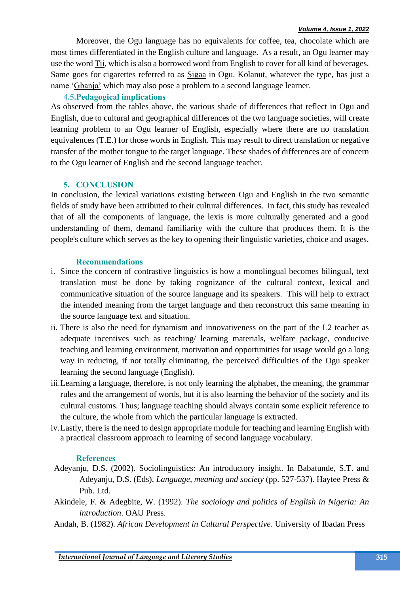Moreover, the Ogu language has no equivalents for coffee, tea, chocolate which are most times differentiated in the English culture and language. As a result, an Ogu learner may use the word Tii, which is also a borrowed word from English to cover for all kind of beverages. Same goes for cigarettes referred to as Sigaa in Ogu. Kolanut, whatever the type, has just a name 'Gbanja' which may also pose a problem to a second language learner.

### **4.5.Pedagogical implications**

As observed from the tables above, the various shade of differences that reflect in Ogu and English, due to cultural and geographical differences of the two language societies, will create learning problem to an Ogu learner of English, especially where there are no translation equivalences (T.E.) for those words in English. This may result to direct translation or negative transfer of the mother tongue to the target language. These shades of differences are of concern to the Ogu learner of English and the second language teacher.

### **5. CONCLUSION**

In conclusion, the lexical variations existing between Ogu and English in the two semantic fields of study have been attributed to their cultural differences. In fact, this study has revealed that of all the components of language, the lexis is more culturally generated and a good understanding of them, demand familiarity with the culture that produces them. It is the people's culture which serves as the key to opening their linguistic varieties, choice and usages.

### **Recommendations**

- i. Since the concern of contrastive linguistics is how a monolingual becomes bilingual, text translation must be done by taking cognizance of the cultural context, lexical and communicative situation of the source language and its speakers. This will help to extract the intended meaning from the target language and then reconstruct this same meaning in the source language text and situation.
- ii. There is also the need for dynamism and innovativeness on the part of the L2 teacher as adequate incentives such as teaching/ learning materials, welfare package, conducive teaching and learning environment, motivation and opportunities for usage would go a long way in reducing, if not totally eliminating, the perceived difficulties of the Ogu speaker learning the second language (English).
- iii.Learning a language, therefore, is not only learning the alphabet, the meaning, the grammar rules and the arrangement of words, but it is also learning the behavior of the society and its cultural customs. Thus; language teaching should always contain some explicit reference to the culture, the whole from which the particular language is extracted.
- iv.Lastly, there is the need to design appropriate module for teaching and learning English with a practical classroom approach to learning of second language vocabulary.

### **References**

- Adeyanju, D.S. (2002). Sociolinguistics: An introductory insight. In Babatunde, S.T. and Adeyanju, D.S. (Eds), *Language, meaning and society* (pp. 527-537). Haytee Press & Pub. Ltd.
- Akindele, F. & Adegbite, W. (1992). *The sociology and politics of English in Nigeria: An introduction*. OAU Press.
- Andah, B. (1982). *African Development in Cultural Perspective*. University of Ibadan Press